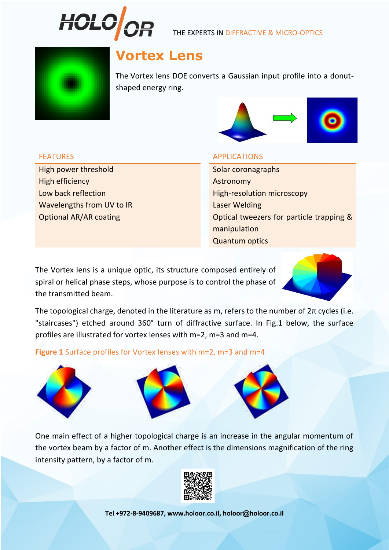

THE EXPERTS IN DIFFRACTIVE & MICRO-OPTICS



# **Vortex Lens**

The Vortex lens DOE converts a Gaussian input profile into a donutshaped energy ring.



High power threshold Solar coronagraphs High efficiency and the contract of the Astronomy Astronomy Wavelengths from UV to IR **Laser Welding** 

## FEATURES APPLICATIONS

Low back reflection **High-resolution microscopy** Optional AR/AR coating and a set of the Optical tweezers for particle trapping & manipulation Quantum optics

The Vortex lens is a unique optic, its structure composed entirely of spiral or helical phase steps, whose purpose is to control the phase of the transmitted beam.

The topological charge, denoted in the literature as m, refers to the number of  $2\pi$  cycles (i.e. "staircases") etched around 360° turn of diffractive surface. In Fig.1 below, the surface profiles are illustrated for vortex lenses with m=2, m=3 and m=4.

**Figure 1** Surface profiles for Vortex lenses with m=2, m=3 and m=4





One main effect of a higher topological charge is an increase in the angular momentum of the vortex beam by a factor of m. Another effect is the dimensions magnification of the ring intensity pattern, by a factor of m.



**Tel +972-8-9409687, www.holoor.co.il, holoor@holoor.co.il**